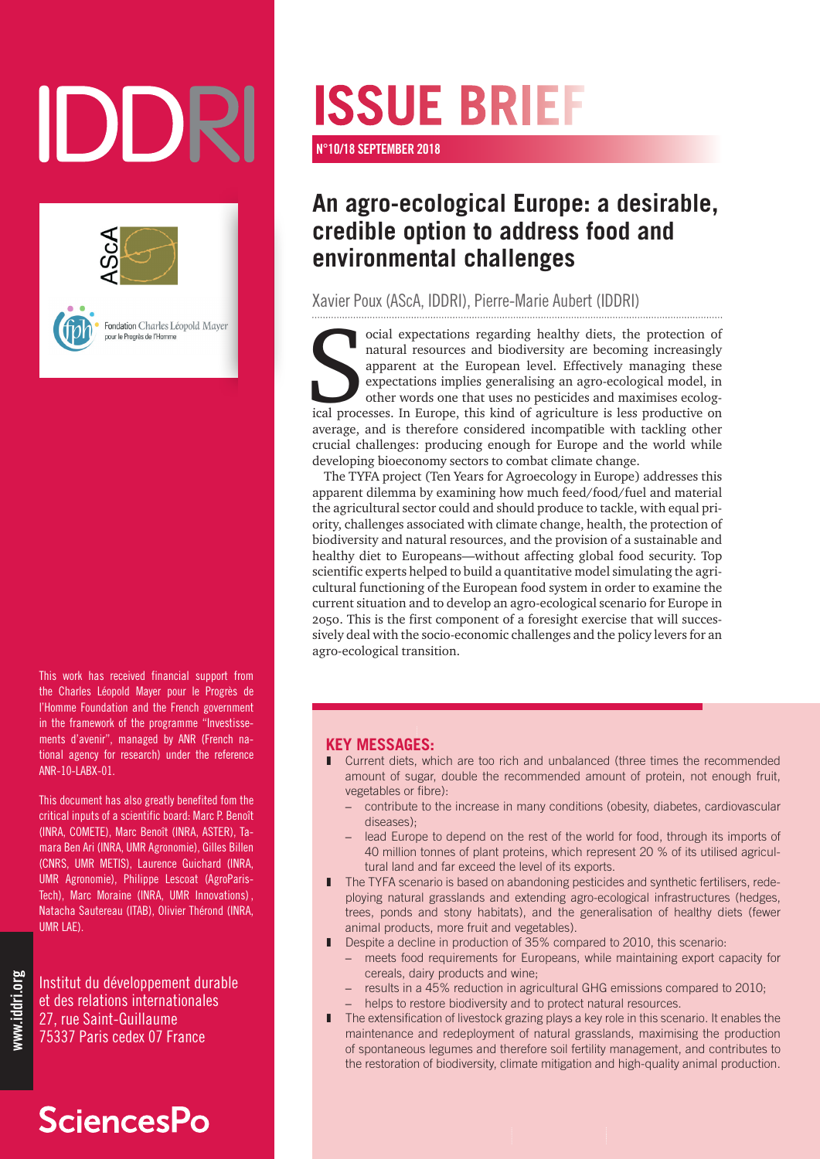# IDDR





Fondation Charles Léopold Mayer our le Progrès de l'Homme

This work has received financial support from the Charles Léopold Mayer pour le Progrès de l'Homme Foundation and the French government in the framework of the programme "Investissements d'avenir", managed by ANR (French national agency for research) under the reference ANR-10-LABX-01.

This document has also greatly benefited fom the critical inputs of a scientific board: Marc P. Benoît (INRA, COMETE), Marc Benoît (INRA, ASTER), Tamara Ben Ari (INRA, UMR Agronomie), Gilles Billen (CNRS, UMR METIS), Laurence Guichard (INRA, UMR Agronomie), Philippe Lescoat (AgroParis-Tech), Marc Moraine (INRA, UMR Innovations) , Natacha Sautereau (ITAB), Olivier Thérond (INRA, UMR LAE).

Institut du développement durable et des relations internationales 27, rue Saint-Guillaume 75337 Paris cedex 07 France

## **SciencesPo**

# **ISSUE BRIEF**

N°10/18 SEPTEMBER 2018

### **An agro-ecological Europe: a desirable, credible option to address food and environmental challenges**

Xavier Poux (AScA, IDDRI), Pierre-Marie Aubert (IDDRI)

ocial expectations regarding healthy diets, the protection of natural resources and biodiversity are becoming increasingly apparent at the European level. Effectively managing these expectations implies generalising an agr ocial expectations regarding healthy diets, the protection of natural resources and biodiversity are becoming increasingly apparent at the European level. Effectively managing these expectations implies generalising an agro-ecological model, in other words one that uses no pesticides and maximises ecologaverage, and is therefore considered incompatible with tackling other crucial challenges: producing enough for Europe and the world while developing bioeconomy sectors to combat climate change.

The TYFA project (Ten Years for Agroecology in Europe) addresses this apparent dilemma by examining how much feed/food/fuel and material the agricultural sector could and should produce to tackle, with equal priority, challenges associated with climate change, health, the protection of biodiversity and natural resources, and the provision of a sustainable and healthy diet to Europeans—without affecting global food security. Top scientific experts helped to build a quantitative model simulating the agricultural functioning of the European food system in order to examine the current situation and to develop an agro-ecological scenario for Europe in 2050. This is the first component of a foresight exercise that will successively deal with the socio-economic challenges and the policy levers for an agro-ecological transition.

#### **KEY MESSAGES:**

- Current diets, which are too rich and unbalanced (three times the recommended amount of sugar, double the recommended amount of protein, not enough fruit, vegetables or fibre):
	- contribute to the increase in many conditions (obesity, diabetes, cardiovascular diseases);
	- lead Europe to depend on the rest of the world for food, through its imports of 40 million tonnes of plant proteins, which represent 20 % of its utilised agricultural land and far exceed the level of its exports.
- The TYFA scenario is based on abandoning pesticides and synthetic fertilisers, redeploying natural grasslands and extending agro-ecological infrastructures (hedges, trees, ponds and stony habitats), and the generalisation of healthy diets (fewer animal products, more fruit and vegetables).
- Despite a decline in production of 35% compared to 2010, this scenario:
	- meets food requirements for Europeans, while maintaining export capacity for cereals, dairy products and wine;
	- results in a 45% reduction in agricultural GHG emissions compared to 2010;
	- helps to restore biodiversity and to protect natural resources.
- ❚ The extensification of livestock grazing plays a key role in this scenario. It enables the maintenance and redeployment of natural grasslands, maximising the production of spontaneous legumes and therefore soil fertility management, and contributes to the restoration of biodiversity, climate mitigation and high-quality animal production.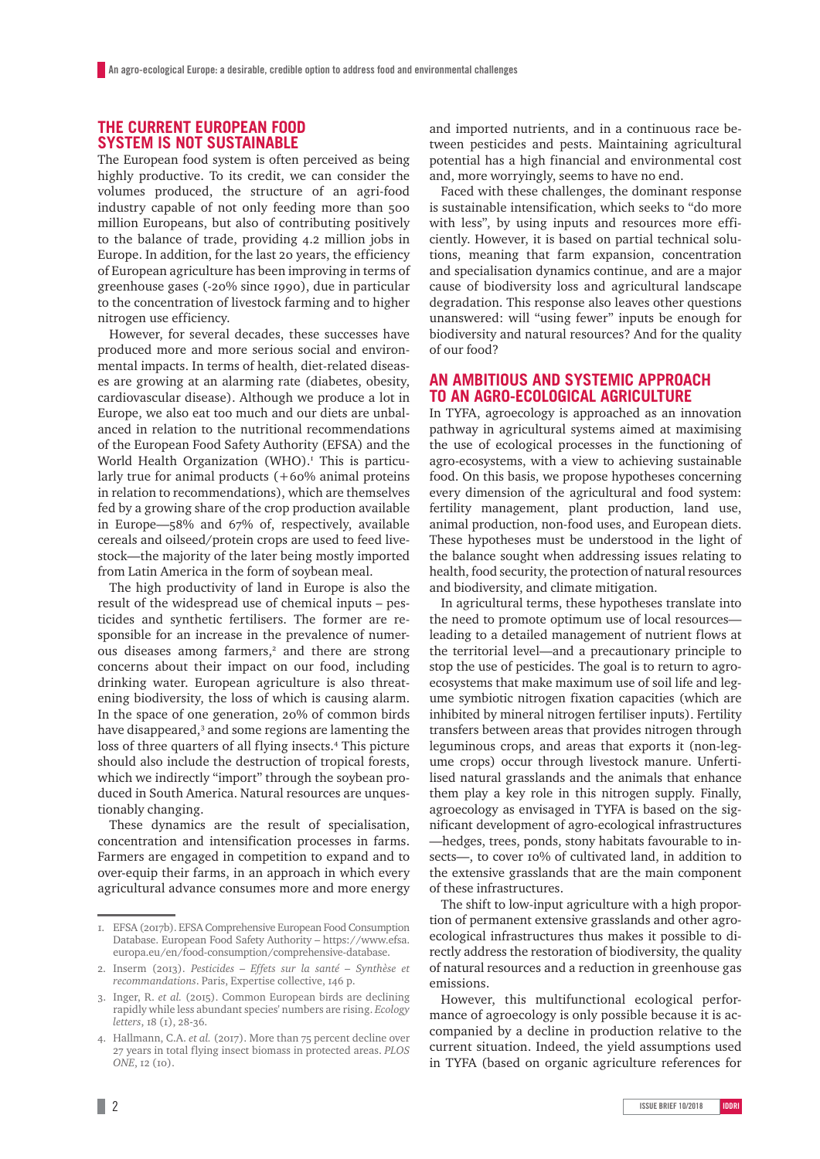#### **THE CURRENT EUROPEAN FOOD SYSTEM IS NOT SUSTAINABLE**

The European food system is often perceived as being highly productive. To its credit, we can consider the volumes produced, the structure of an agri-food industry capable of not only feeding more than 500 million Europeans, but also of contributing positively to the balance of trade, providing 4.2 million jobs in Europe. In addition, for the last 20 years, the efficiency of European agriculture has been improving in terms of greenhouse gases (-20% since 1990), due in particular to the concentration of livestock farming and to higher nitrogen use efficiency.

However, for several decades, these successes have produced more and more serious social and environmental impacts. In terms of health, diet-related diseases are growing at an alarming rate (diabetes, obesity, cardiovascular disease). Although we produce a lot in Europe, we also eat too much and our diets are unbalanced in relation to the nutritional recommendations of the European Food Safety Authority (EFSA) and the World Health Organization (WHO).<sup>1</sup> This is particularly true for animal products (+60% animal proteins in relation to recommendations), which are themselves fed by a growing share of the crop production available in Europe—58% and 67% of, respectively, available cereals and oilseed/protein crops are used to feed livestock—the majority of the later being mostly imported from Latin America in the form of soybean meal.

The high productivity of land in Europe is also the result of the widespread use of chemical inputs – pesticides and synthetic fertilisers. The former are responsible for an increase in the prevalence of numerous diseases among farmers,<sup>2</sup> and there are strong concerns about their impact on our food, including drinking water. European agriculture is also threatening biodiversity, the loss of which is causing alarm. In the space of one generation, 20% of common birds have disappeared,<sup>3</sup> and some regions are lamenting the loss of three quarters of all flying insects.<sup>4</sup> This picture should also include the destruction of tropical forests, which we indirectly "import" through the soybean produced in South America. Natural resources are unquestionably changing.

These dynamics are the result of specialisation, concentration and intensification processes in farms. Farmers are engaged in competition to expand and to over-equip their farms, in an approach in which every agricultural advance consumes more and more energy and imported nutrients, and in a continuous race between pesticides and pests. Maintaining agricultural potential has a high financial and environmental cost and, more worryingly, seems to have no end.

Faced with these challenges, the dominant response is sustainable intensification, which seeks to "do more with less", by using inputs and resources more efficiently. However, it is based on partial technical solutions, meaning that farm expansion, concentration and specialisation dynamics continue, and are a major cause of biodiversity loss and agricultural landscape degradation. This response also leaves other questions unanswered: will "using fewer" inputs be enough for biodiversity and natural resources? And for the quality of our food?

#### **AN AMBITIOUS AND SYSTEMIC APPROACH TO AN AGRO-ECOLOGICAL AGRICULTURE**

In TYFA, agroecology is approached as an innovation pathway in agricultural systems aimed at maximising the use of ecological processes in the functioning of agro-ecosystems, with a view to achieving sustainable food. On this basis, we propose hypotheses concerning every dimension of the agricultural and food system: fertility management, plant production, land use, animal production, non-food uses, and European diets. These hypotheses must be understood in the light of the balance sought when addressing issues relating to health, food security, the protection of natural resources and biodiversity, and climate mitigation.

In agricultural terms, these hypotheses translate into the need to promote optimum use of local resources leading to a detailed management of nutrient flows at the territorial level—and a precautionary principle to stop the use of pesticides. The goal is to return to agroecosystems that make maximum use of soil life and legume symbiotic nitrogen fixation capacities (which are inhibited by mineral nitrogen fertiliser inputs). Fertility transfers between areas that provides nitrogen through leguminous crops, and areas that exports it (non-legume crops) occur through livestock manure. Unfertilised natural grasslands and the animals that enhance them play a key role in this nitrogen supply. Finally, agroecology as envisaged in TYFA is based on the significant development of agro-ecological infrastructures —hedges, trees, ponds, stony habitats favourable to insects—, to cover 10% of cultivated land, in addition to the extensive grasslands that are the main component of these infrastructures.

The shift to low-input agriculture with a high proportion of permanent extensive grasslands and other agroecological infrastructures thus makes it possible to directly address the restoration of biodiversity, the quality of natural resources and a reduction in greenhouse gas emissions.

However, this multifunctional ecological performance of agroecology is only possible because it is accompanied by a decline in production relative to the current situation. Indeed, the yield assumptions used in TYFA (based on organic agriculture references for

<sup>1.</sup> EFSA (2017b). EFSA Comprehensive European Food Consumption Database. European Food Safety Authority – [https://www.efsa.](https://www.efsa.europa.eu/en/food-consumption/comprehensive-database) [europa.eu/en/food-consumption/comprehensive-database](https://www.efsa.europa.eu/en/food-consumption/comprehensive-database).

<sup>2.</sup> Inserm (2013). *Pesticides – Effets sur la santé – Synthèse et recommandations*. Paris, Expertise collective, 146 p.

<sup>3.</sup> Inger, R. *et al.* (2015). Common European birds are declining rapidly while less abundant species' numbers are rising. *Ecology letters*, 18 (1), 28-36.

<sup>4.</sup> Hallmann, C.A. *et al.* (2017). More than 75 percent decline over 27 years in total flying insect biomass in protected areas. *PLOS ONE*, 12 (10).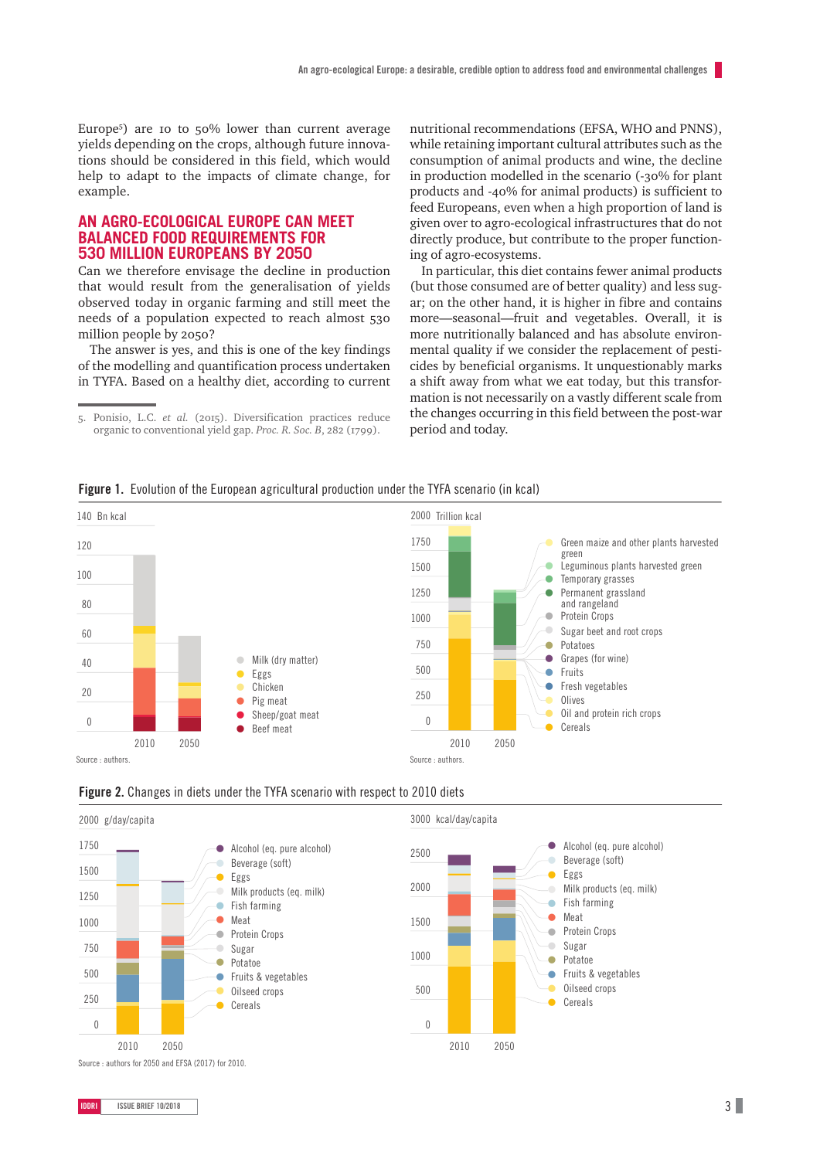Europe<sup>5</sup> ) are 10 to 50% lower than current average yields depending on the crops, although future innovations should be considered in this field, which would help to adapt to the impacts of climate change, for example.

#### **AN AGRO-ECOLOGICAL EUROPE CAN MEET BALANCED FOOD REQUIREMENTS FOR 530 MILLION EUROPEANS BY 2050**

Can we therefore envisage the decline in production that would result from the generalisation of yields observed today in organic farming and still meet the needs of a population expected to reach almost 530 million people by 2050?

The answer is yes, and this is one of the key findings of the modelling and quantification process undertaken in TYFA. Based on a healthy diet, according to current

5. Ponisio, L.C. *et al.* (2015). Diversification practices reduce organic to conventional yield gap. *Proc. R. Soc. B*, 282 (1799).

nutritional recommendations (EFSA, WHO and PNNS), while retaining important cultural attributes such as the consumption of animal products and wine, the decline in production modelled in the scenario (-30% for plant products and -40% for animal products) is sufficient to feed Europeans, even when a high proportion of land is given over to agro-ecological infrastructures that do not directly produce, but contribute to the proper functioning of agro-ecosystems.

In particular, this diet contains fewer animal products (but those consumed are of better quality) and less sugar; on the other hand, it is higher in fibre and contains more—seasonal—fruit and vegetables. Overall, it is more nutritionally balanced and has absolute environmental quality if we consider the replacement of pesticides by beneficial organisms. It unquestionably marks a shift away from what we eat today, but this transformation is not necessarily on a vastly different scale from the changes occurring in this field between the post-war period and today.







Figure 2. Changes in diets under the TYFA scenario with respect to 2010 diets